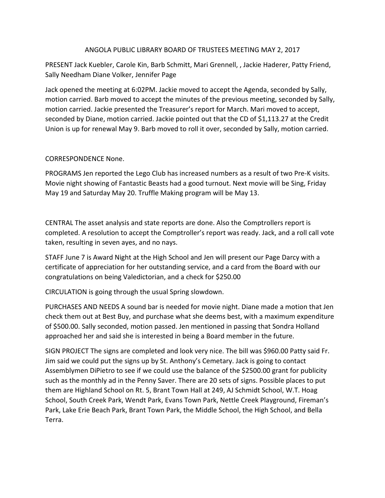#### ANGOLA PUBLIC LIBRARY BOARD OF TRUSTEES MEETING MAY 2, 2017

PRESENT Jack Kuebler, Carole Kin, Barb Schmitt, Mari Grennell, , Jackie Haderer, Patty Friend, Sally Needham Diane Volker, Jennifer Page

Jack opened the meeting at 6:02PM. Jackie moved to accept the Agenda, seconded by Sally, motion carried. Barb moved to accept the minutes of the previous meeting, seconded by Sally, motion carried. Jackie presented the Treasurer's report for March. Mari moved to accept, seconded by Diane, motion carried. Jackie pointed out that the CD of \$1,113.27 at the Credit Union is up for renewal May 9. Barb moved to roll it over, seconded by Sally, motion carried.

#### CORRESPONDENCE None.

PROGRAMS Jen reported the Lego Club has increased numbers as a result of two Pre-K visits. Movie night showing of Fantastic Beasts had a good turnout. Next movie will be Sing, Friday May 19 and Saturday May 20. Truffle Making program will be May 13.

CENTRAL The asset analysis and state reports are done. Also the Comptrollers report is completed. A resolution to accept the Comptroller's report was ready. Jack, and a roll call vote taken, resulting in seven ayes, and no nays.

STAFF June 7 is Award Night at the High School and Jen will present our Page Darcy with a certificate of appreciation for her outstanding service, and a card from the Board with our congratulations on being Valedictorian, and a check for \$250.00

CIRCULATION is going through the usual Spring slowdown.

PURCHASES AND NEEDS A sound bar is needed for movie night. Diane made a motion that Jen check them out at Best Buy, and purchase what she deems best, with a maximum expenditure of \$500.00. Sally seconded, motion passed. Jen mentioned in passing that Sondra Holland approached her and said she is interested in being a Board member in the future.

SIGN PROJECT The signs are completed and look very nice. The bill was \$960.00 Patty said Fr. Jim said we could put the signs up by St. Anthony's Cemetary. Jack is going to contact Assemblymen DiPietro to see if we could use the balance of the \$2500.00 grant for publicity such as the monthly ad in the Penny Saver. There are 20 sets of signs. Possible places to put them are Highland School on Rt. 5, Brant Town Hall at 249, AJ Schmidt School, W.T. Hoag School, South Creek Park, Wendt Park, Evans Town Park, Nettle Creek Playground, Fireman's Park, Lake Erie Beach Park, Brant Town Park, the Middle School, the High School, and Bella Terra.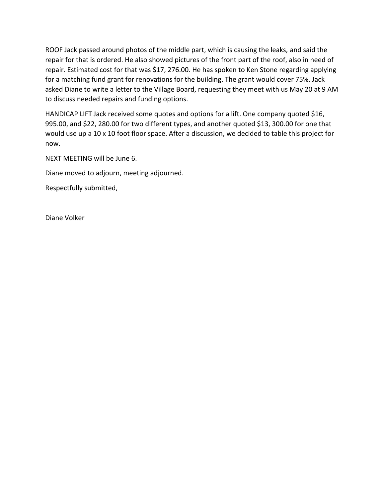ROOF Jack passed around photos of the middle part, which is causing the leaks, and said the repair for that is ordered. He also showed pictures of the front part of the roof, also in need of repair. Estimated cost for that was \$17, 276.00. He has spoken to Ken Stone regarding applying for a matching fund grant for renovations for the building. The grant would cover 75%. Jack asked Diane to write a letter to the Village Board, requesting they meet with us May 20 at 9 AM to discuss needed repairs and funding options.

HANDICAP LIFT Jack received some quotes and options for a lift. One company quoted \$16, 995.00, and \$22, 280.00 for two different types, and another quoted \$13, 300.00 for one that would use up a 10 x 10 foot floor space. After a discussion, we decided to table this project for now.

NEXT MEETING will be June 6.

Diane moved to adjourn, meeting adjourned.

Respectfully submitted,

Diane Volker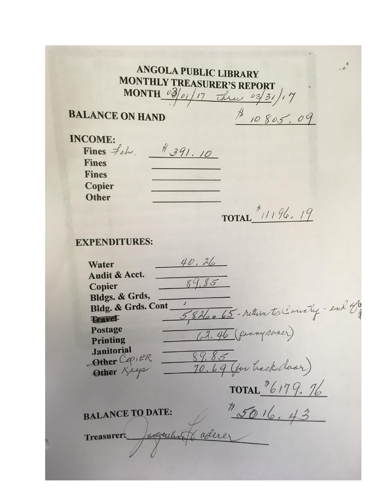**ANGOLA PUBLIC LIBRARY MONTHLY TREASURER'S REPORT** MONTH  $\frac{103}{e1/17}$  thru  $\frac{13}{3}/17$  $$10805.09$ 

## **BALANCE ON HAND**

**INCOME:** Fines  $f_{\ell}$  + 391.10 **Fines Fines** Copier **Other** 

TOTAL<sup>\$</sup> $1196.19$ 

# **EXPENDITURES:**

 $40.26$ Water Audit & Acct.  $89.85$ Copier Bldgs. & Grds, 5826065 - return to County - end of Bldg. & Grds. Cont **Travel** (2). 46 (pennysaner) Postage Printing Janvoria<br>Other CopiER 89.85<br>Other Keye 70.69 (for back doar) **Janitorial** TOTAL  $^{\frac{1}{2}6179.76}$ DATE: 15016.43 **BALANCE TO DATE:** Treasurer: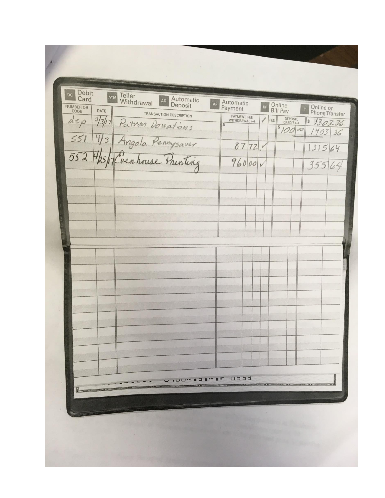| Debit<br>Card<br>NUMBER OR | DATE | <b>ATM Teller</b><br>Withdrawal<br>Automatic<br>Deposit                                                               | AP          | Automatic<br>Payment           |  |   | BP  | Online<br>Bill Pay<br>Online or<br>Phone Transfer |                       |  |
|----------------------------|------|-----------------------------------------------------------------------------------------------------------------------|-------------|--------------------------------|--|---|-----|---------------------------------------------------|-----------------------|--|
|                            |      | TRANSACTION DESCRIPTION<br>dep 3/3/17 Patron Donations<br>551 4/3 Angola Pennysaver<br>552 4/25/17 Cvenhouse Painting | S           | PAYMENT, FEE<br>WITHDRAWAL (-) |  | √ | FEE | DEPOSIT,<br>CREDIT (+)<br>810000                  | 51303.36<br>$1403$ 36 |  |
|                            |      |                                                                                                                       |             | 8772.                          |  |   |     |                                                   | 131564                |  |
|                            |      |                                                                                                                       |             | 96000v                         |  |   |     |                                                   | 35564                 |  |
|                            |      |                                                                                                                       |             |                                |  |   |     |                                                   |                       |  |
|                            |      |                                                                                                                       |             |                                |  |   |     |                                                   |                       |  |
|                            |      |                                                                                                                       |             |                                |  |   |     |                                                   |                       |  |
|                            |      |                                                                                                                       |             |                                |  |   |     |                                                   |                       |  |
|                            |      |                                                                                                                       |             |                                |  |   |     |                                                   |                       |  |
|                            |      |                                                                                                                       |             |                                |  |   |     |                                                   |                       |  |
|                            |      |                                                                                                                       |             |                                |  |   |     |                                                   |                       |  |
|                            |      |                                                                                                                       |             |                                |  |   |     |                                                   |                       |  |
|                            |      |                                                                                                                       |             |                                |  |   |     |                                                   |                       |  |
|                            |      |                                                                                                                       |             |                                |  |   |     |                                                   |                       |  |
|                            |      |                                                                                                                       |             |                                |  |   |     |                                                   |                       |  |
|                            |      |                                                                                                                       |             |                                |  |   |     |                                                   |                       |  |
|                            |      |                                                                                                                       | $III$ $BII$ | ヒヒヒ                            |  |   |     |                                                   |                       |  |
|                            |      |                                                                                                                       |             |                                |  |   |     |                                                   |                       |  |
|                            |      |                                                                                                                       |             |                                |  |   |     |                                                   |                       |  |